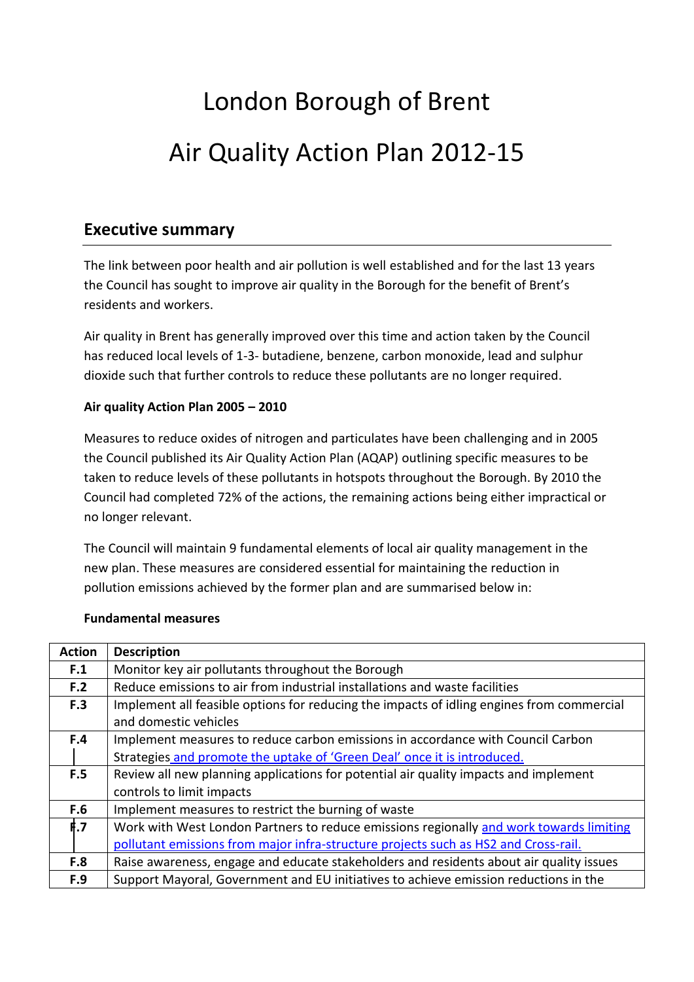# London Borough of Brent Air Quality Action Plan 2012-15

### **Executive summary**

The link between poor health and air pollution is well established and for the last 13 years the Council has sought to improve air quality in the Borough for the benefit of Brent's residents and workers.

Air quality in Brent has generally improved over this time and action taken by the Council has reduced local levels of 1-3- butadiene, benzene, carbon monoxide, lead and sulphur dioxide such that further controls to reduce these pollutants are no longer required.

#### **Air quality Action Plan 2005 – 2010**

Measures to reduce oxides of nitrogen and particulates have been challenging and in 2005 the Council published its Air Quality Action Plan (AQAP) outlining specific measures to be taken to reduce levels of these pollutants in hotspots throughout the Borough. By 2010 the Council had completed 72% of the actions, the remaining actions being either impractical or no longer relevant.

The Council will maintain 9 fundamental elements of local air quality management in the new plan. These measures are considered essential for maintaining the reduction in pollution emissions achieved by the former plan and are summarised below in:

| <b>Action</b> | <b>Description</b>                                                                        |
|---------------|-------------------------------------------------------------------------------------------|
| F.1           | Monitor key air pollutants throughout the Borough                                         |
| F.2           | Reduce emissions to air from industrial installations and waste facilities                |
| F.3           | Implement all feasible options for reducing the impacts of idling engines from commercial |
|               | and domestic vehicles                                                                     |
| F.4           | Implement measures to reduce carbon emissions in accordance with Council Carbon           |
|               | Strategies and promote the uptake of 'Green Deal' once it is introduced.                  |
| F.5           | Review all new planning applications for potential air quality impacts and implement      |
|               | controls to limit impacts                                                                 |
| F.6           | Implement measures to restrict the burning of waste                                       |
| f.7           | Work with West London Partners to reduce emissions regionally and work towards limiting   |
|               | pollutant emissions from major infra-structure projects such as HS2 and Cross-rail.       |
| F.8           | Raise awareness, engage and educate stakeholders and residents about air quality issues   |
| F.9           | Support Mayoral, Government and EU initiatives to achieve emission reductions in the      |

#### **Fundamental measures**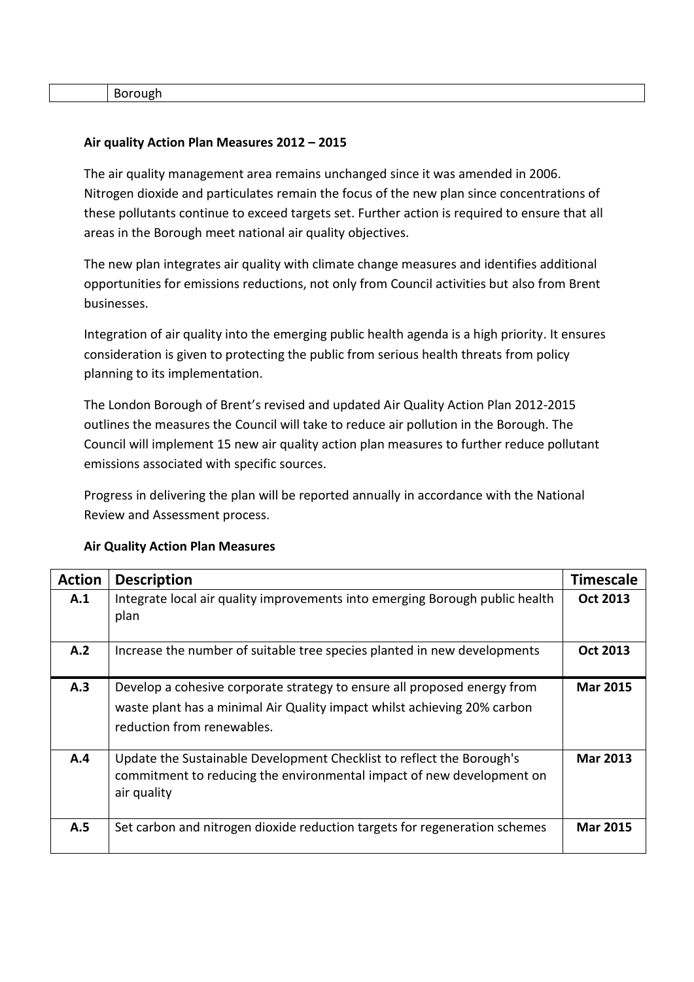Borough

#### **Air quality Action Plan Measures 2012 – 2015**

The air quality management area remains unchanged since it was amended in 2006. Nitrogen dioxide and particulates remain the focus of the new plan since concentrations of these pollutants continue to exceed targets set. Further action is required to ensure that all areas in the Borough meet national air quality objectives.

The new plan integrates air quality with climate change measures and identifies additional opportunities for emissions reductions, not only from Council activities but also from Brent businesses.

Integration of air quality into the emerging public health agenda is a high priority. It ensures consideration is given to protecting the public from serious health threats from policy planning to its implementation.

The London Borough of Brent's revised and updated Air Quality Action Plan 2012-2015 outlines the measures the Council will take to reduce air pollution in the Borough. The Council will implement 15 new air quality action plan measures to further reduce pollutant emissions associated with specific sources.

Progress in delivering the plan will be reported annually in accordance with the National Review and Assessment process.

| <b>Action</b> | <b>Description</b>                                                                                                                                                                 | <b>Timescale</b> |
|---------------|------------------------------------------------------------------------------------------------------------------------------------------------------------------------------------|------------------|
| A.1           | Integrate local air quality improvements into emerging Borough public health<br>plan                                                                                               | <b>Oct 2013</b>  |
| A.2           | Increase the number of suitable tree species planted in new developments                                                                                                           | <b>Oct 2013</b>  |
| A.3           | Develop a cohesive corporate strategy to ensure all proposed energy from<br>waste plant has a minimal Air Quality impact whilst achieving 20% carbon<br>reduction from renewables. | <b>Mar 2015</b>  |
| A.4           | Update the Sustainable Development Checklist to reflect the Borough's<br>commitment to reducing the environmental impact of new development on<br>air quality                      | <b>Mar 2013</b>  |
| A.5           | Set carbon and nitrogen dioxide reduction targets for regeneration schemes                                                                                                         | <b>Mar 2015</b>  |

#### **Air Quality Action Plan Measures**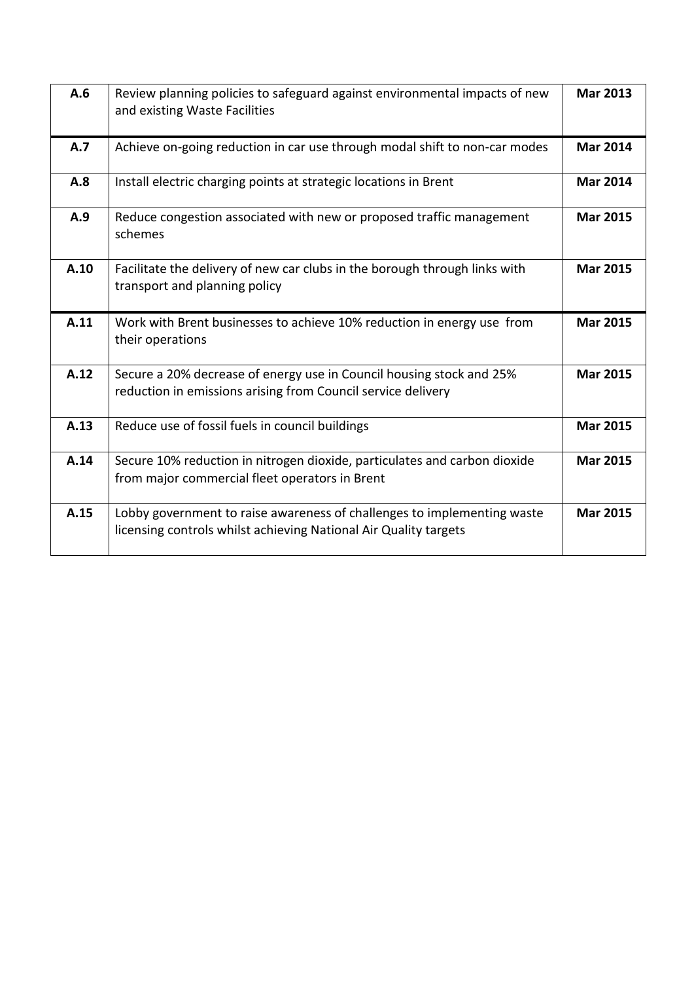| A.6  | Review planning policies to safeguard against environmental impacts of new<br>and existing Waste Facilities                                 | <b>Mar 2013</b> |
|------|---------------------------------------------------------------------------------------------------------------------------------------------|-----------------|
| A.7  | Achieve on-going reduction in car use through modal shift to non-car modes                                                                  | <b>Mar 2014</b> |
| A.8  | Install electric charging points at strategic locations in Brent                                                                            | <b>Mar 2014</b> |
| A.9  | Reduce congestion associated with new or proposed traffic management<br>schemes                                                             | <b>Mar 2015</b> |
| A.10 | Facilitate the delivery of new car clubs in the borough through links with<br>transport and planning policy                                 | <b>Mar 2015</b> |
| A.11 | Work with Brent businesses to achieve 10% reduction in energy use from<br>their operations                                                  | <b>Mar 2015</b> |
| A.12 | Secure a 20% decrease of energy use in Council housing stock and 25%<br>reduction in emissions arising from Council service delivery        | <b>Mar 2015</b> |
| A.13 | Reduce use of fossil fuels in council buildings                                                                                             | <b>Mar 2015</b> |
| A.14 | Secure 10% reduction in nitrogen dioxide, particulates and carbon dioxide<br>from major commercial fleet operators in Brent                 | <b>Mar 2015</b> |
| A.15 | Lobby government to raise awareness of challenges to implementing waste<br>licensing controls whilst achieving National Air Quality targets | <b>Mar 2015</b> |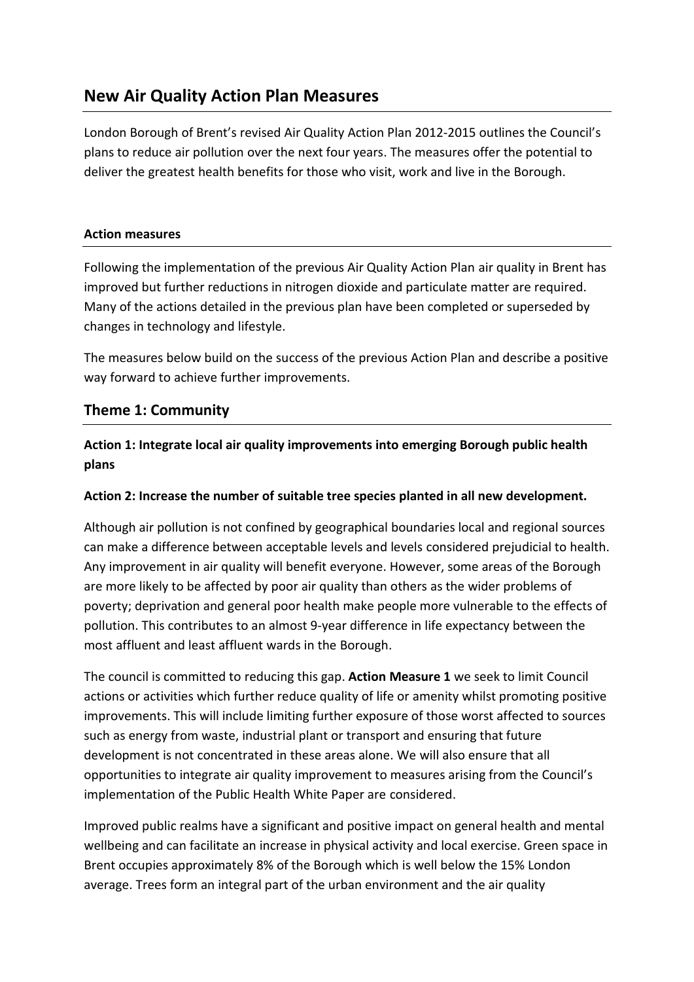# **New Air Quality Action Plan Measures**

London Borough of Brent's revised Air Quality Action Plan 2012-2015 outlines the Council's plans to reduce air pollution over the next four years. The measures offer the potential to deliver the greatest health benefits for those who visit, work and live in the Borough.

#### **Action measures**

Following the implementation of the previous Air Quality Action Plan air quality in Brent has improved but further reductions in nitrogen dioxide and particulate matter are required. Many of the actions detailed in the previous plan have been completed or superseded by changes in technology and lifestyle.

The measures below build on the success of the previous Action Plan and describe a positive way forward to achieve further improvements.

#### **Theme 1: Community**

**Action 1: Integrate local air quality improvements into emerging Borough public health plans**

#### **Action 2: Increase the number of suitable tree species planted in all new development.**

Although air pollution is not confined by geographical boundaries local and regional sources can make a difference between acceptable levels and levels considered prejudicial to health. Any improvement in air quality will benefit everyone. However, some areas of the Borough are more likely to be affected by poor air quality than others as the wider problems of poverty; deprivation and general poor health make people more vulnerable to the effects of pollution. This contributes to an almost 9-year difference in life expectancy between the most affluent and least affluent wards in the Borough.

The council is committed to reducing this gap. **Action Measure 1** we seek to limit Council actions or activities which further reduce quality of life or amenity whilst promoting positive improvements. This will include limiting further exposure of those worst affected to sources such as energy from waste, industrial plant or transport and ensuring that future development is not concentrated in these areas alone. We will also ensure that all opportunities to integrate air quality improvement to measures arising from the Council's implementation of the Public Health White Paper are considered.

Improved public realms have a significant and positive impact on general health and mental wellbeing and can facilitate an increase in physical activity and local exercise. Green space in Brent occupies approximately 8% of the Borough which is well below the 15% London average. Trees form an integral part of the urban environment and the air quality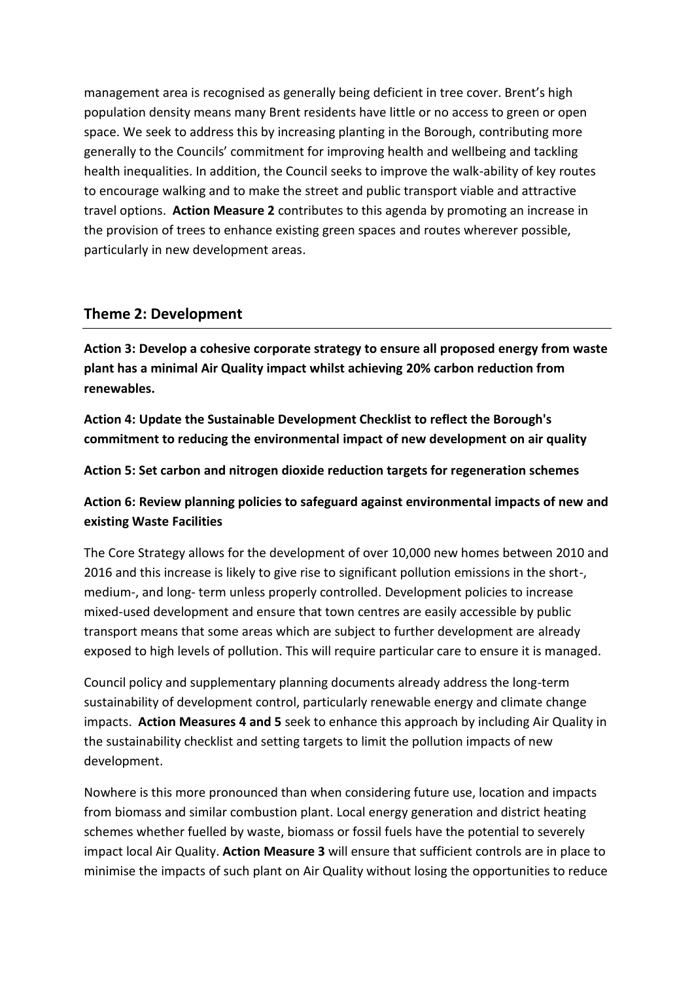management area is recognised as generally being deficient in tree cover. Brent's high population density means many Brent residents have little or no access to green or open space. We seek to address this by increasing planting in the Borough, contributing more generally to the Councils' commitment for improving health and wellbeing and tackling health inequalities. In addition, the Council seeks to improve the walk-ability of key routes to encourage walking and to make the street and public transport viable and attractive travel options. **Action Measure 2** contributes to this agenda by promoting an increase in the provision of trees to enhance existing green spaces and routes wherever possible, particularly in new development areas.

#### **Theme 2: Development**

**Action 3: Develop a cohesive corporate strategy to ensure all proposed energy from waste plant has a minimal Air Quality impact whilst achieving 20% carbon reduction from renewables.**

**Action 4: Update the Sustainable Development Checklist to reflect the Borough's commitment to reducing the environmental impact of new development on air quality**

**Action 5: Set carbon and nitrogen dioxide reduction targets for regeneration schemes**

**Action 6: Review planning policies to safeguard against environmental impacts of new and existing Waste Facilities** 

The Core Strategy allows for the development of over 10,000 new homes between 2010 and 2016 and this increase is likely to give rise to significant pollution emissions in the short-, medium-, and long- term unless properly controlled. Development policies to increase mixed-used development and ensure that town centres are easily accessible by public transport means that some areas which are subject to further development are already exposed to high levels of pollution. This will require particular care to ensure it is managed.

Council policy and supplementary planning documents already address the long-term sustainability of development control, particularly renewable energy and climate change impacts. **Action Measures 4 and 5** seek to enhance this approach by including Air Quality in the sustainability checklist and setting targets to limit the pollution impacts of new development.

Nowhere is this more pronounced than when considering future use, location and impacts from biomass and similar combustion plant. Local energy generation and district heating schemes whether fuelled by waste, biomass or fossil fuels have the potential to severely impact local Air Quality. **Action Measure 3** will ensure that sufficient controls are in place to minimise the impacts of such plant on Air Quality without losing the opportunities to reduce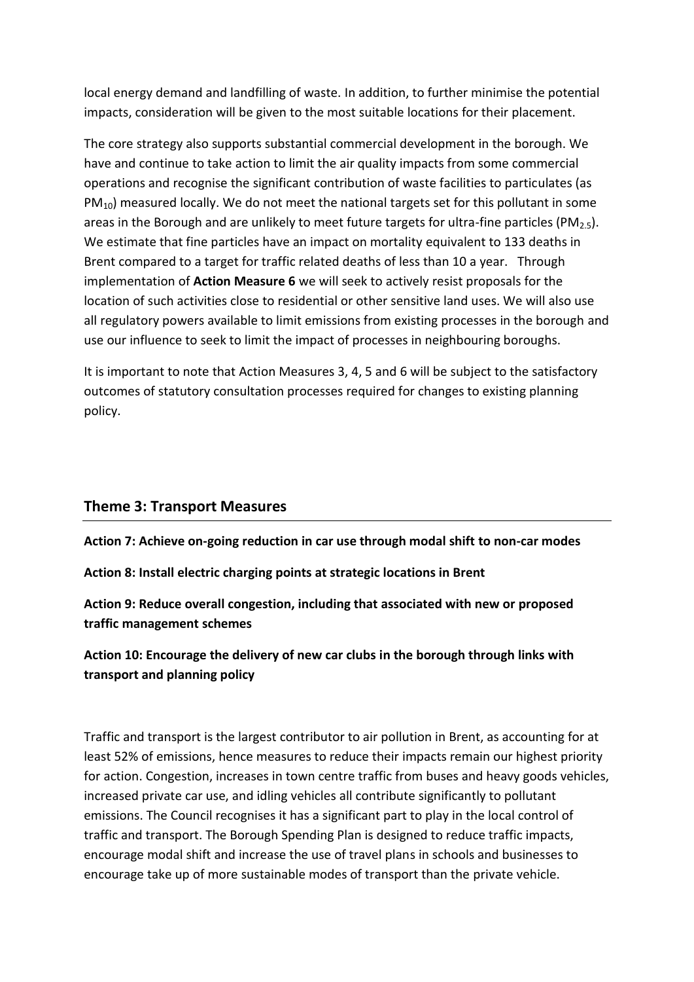local energy demand and landfilling of waste. In addition, to further minimise the potential impacts, consideration will be given to the most suitable locations for their placement.

The core strategy also supports substantial commercial development in the borough. We have and continue to take action to limit the air quality impacts from some commercial operations and recognise the significant contribution of waste facilities to particulates (as  $PM_{10}$ ) measured locally. We do not meet the national targets set for this pollutant in some areas in the Borough and are unlikely to meet future targets for ultra-fine particles (PM<sub>2.5</sub>). We estimate that fine particles have an impact on mortality equivalent to 133 deaths in Brent compared to a target for traffic related deaths of less than 10 a year. Through implementation of **Action Measure 6** we will seek to actively resist proposals for the location of such activities close to residential or other sensitive land uses. We will also use all regulatory powers available to limit emissions from existing processes in the borough and use our influence to seek to limit the impact of processes in neighbouring boroughs.

It is important to note that Action Measures 3, 4, 5 and 6 will be subject to the satisfactory outcomes of statutory consultation processes required for changes to existing planning policy.

#### **Theme 3: Transport Measures**

**Action 7: Achieve on-going reduction in car use through modal shift to non-car modes**

**Action 8: Install electric charging points at strategic locations in Brent**

**Action 9: Reduce overall congestion, including that associated with new or proposed traffic management schemes**

**Action 10: Encourage the delivery of new car clubs in the borough through links with transport and planning policy**

Traffic and transport is the largest contributor to air pollution in Brent, as accounting for at least 52% of emissions, hence measures to reduce their impacts remain our highest priority for action. Congestion, increases in town centre traffic from buses and heavy goods vehicles, increased private car use, and idling vehicles all contribute significantly to pollutant emissions. The Council recognises it has a significant part to play in the local control of traffic and transport. The Borough Spending Plan is designed to reduce traffic impacts, encourage modal shift and increase the use of travel plans in schools and businesses to encourage take up of more sustainable modes of transport than the private vehicle.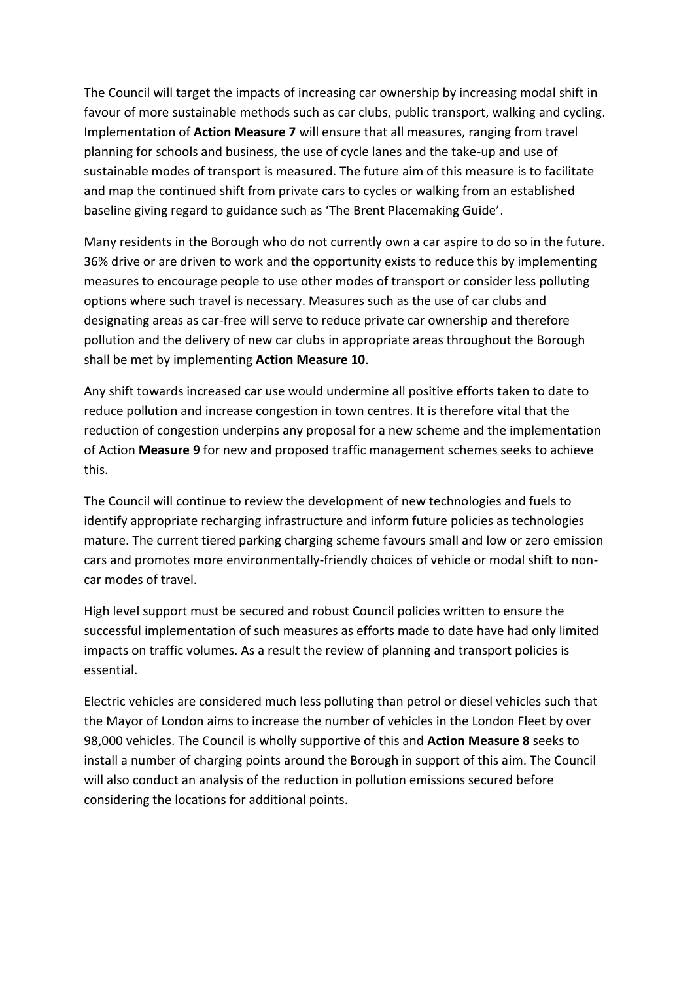The Council will target the impacts of increasing car ownership by increasing modal shift in favour of more sustainable methods such as car clubs, public transport, walking and cycling. Implementation of **Action Measure 7** will ensure that all measures, ranging from travel planning for schools and business, the use of cycle lanes and the take-up and use of sustainable modes of transport is measured. The future aim of this measure is to facilitate and map the continued shift from private cars to cycles or walking from an established baseline giving regard to guidance such as 'The Brent Placemaking Guide'.

Many residents in the Borough who do not currently own a car aspire to do so in the future. 36% drive or are driven to work and the opportunity exists to reduce this by implementing measures to encourage people to use other modes of transport or consider less polluting options where such travel is necessary. Measures such as the use of car clubs and designating areas as car-free will serve to reduce private car ownership and therefore pollution and the delivery of new car clubs in appropriate areas throughout the Borough shall be met by implementing **Action Measure 10**.

Any shift towards increased car use would undermine all positive efforts taken to date to reduce pollution and increase congestion in town centres. It is therefore vital that the reduction of congestion underpins any proposal for a new scheme and the implementation of Action **Measure 9** for new and proposed traffic management schemes seeks to achieve this.

The Council will continue to review the development of new technologies and fuels to identify appropriate recharging infrastructure and inform future policies as technologies mature. The current tiered parking charging scheme favours small and low or zero emission cars and promotes more environmentally-friendly choices of vehicle or modal shift to noncar modes of travel.

High level support must be secured and robust Council policies written to ensure the successful implementation of such measures as efforts made to date have had only limited impacts on traffic volumes. As a result the review of planning and transport policies is essential.

Electric vehicles are considered much less polluting than petrol or diesel vehicles such that the Mayor of London aims to increase the number of vehicles in the London Fleet by over 98,000 vehicles. The Council is wholly supportive of this and **Action Measure 8** seeks to install a number of charging points around the Borough in support of this aim. The Council will also conduct an analysis of the reduction in pollution emissions secured before considering the locations for additional points.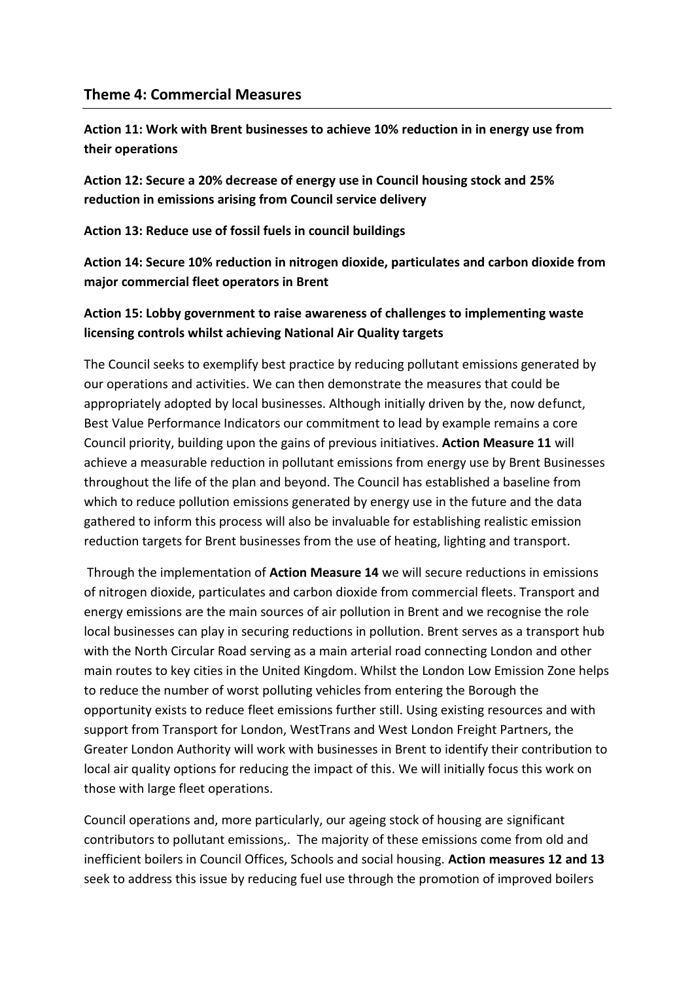#### **Theme 4: Commercial Measures**

**Action 11: Work with Brent businesses to achieve 10% reduction in in energy use from their operations**

**Action 12: Secure a 20% decrease of energy use in Council housing stock and 25% reduction in emissions arising from Council service delivery**

**Action 13: Reduce use of fossil fuels in council buildings**

**Action 14: Secure 10% reduction in nitrogen dioxide, particulates and carbon dioxide from major commercial fleet operators in Brent**

#### **Action 15: Lobby government to raise awareness of challenges to implementing waste licensing controls whilst achieving National Air Quality targets**

The Council seeks to exemplify best practice by reducing pollutant emissions generated by our operations and activities. We can then demonstrate the measures that could be appropriately adopted by local businesses. Although initially driven by the, now defunct, Best Value Performance Indicators our commitment to lead by example remains a core Council priority, building upon the gains of previous initiatives. **Action Measure 11** will achieve a measurable reduction in pollutant emissions from energy use by Brent Businesses throughout the life of the plan and beyond. The Council has established a baseline from which to reduce pollution emissions generated by energy use in the future and the data gathered to inform this process will also be invaluable for establishing realistic emission reduction targets for Brent businesses from the use of heating, lighting and transport.

Through the implementation of **Action Measure 14** we will secure reductions in emissions of nitrogen dioxide, particulates and carbon dioxide from commercial fleets. Transport and energy emissions are the main sources of air pollution in Brent and we recognise the role local businesses can play in securing reductions in pollution. Brent serves as a transport hub with the North Circular Road serving as a main arterial road connecting London and other main routes to key cities in the United Kingdom. Whilst the London Low Emission Zone helps to reduce the number of worst polluting vehicles from entering the Borough the opportunity exists to reduce fleet emissions further still. Using existing resources and with support from Transport for London, WestTrans and West London Freight Partners, the Greater London Authority will work with businesses in Brent to identify their contribution to local air quality options for reducing the impact of this. We will initially focus this work on those with large fleet operations.

Council operations and, more particularly, our ageing stock of housing are significant contributors to pollutant emissions,. The majority of these emissions come from old and inefficient boilers in Council Offices, Schools and social housing. **Action measures 12 and 13**  seek to address this issue by reducing fuel use through the promotion of improved boilers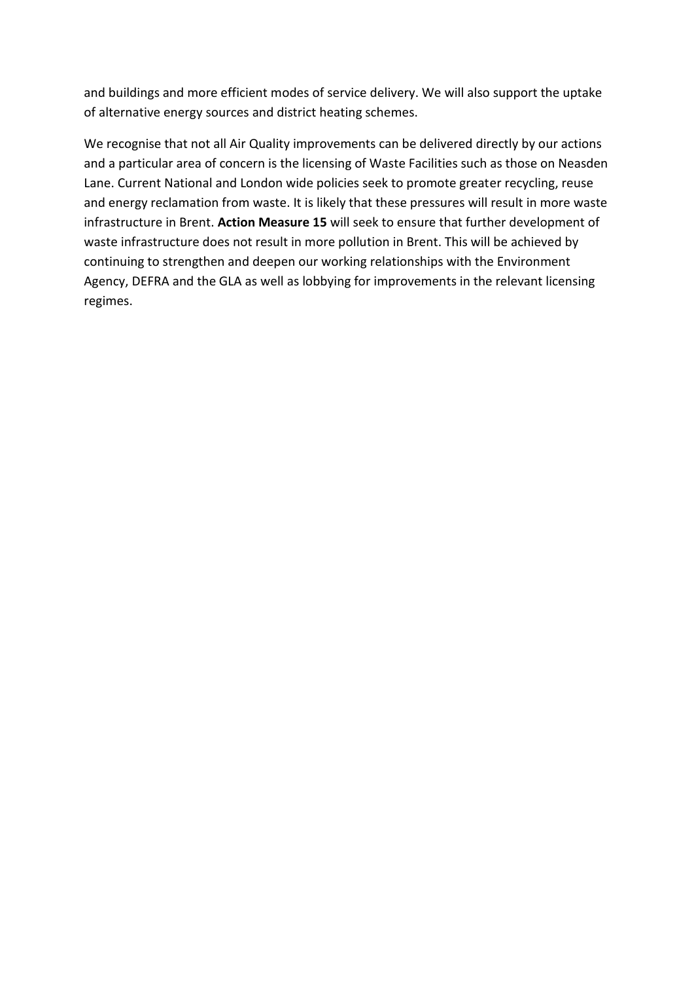and buildings and more efficient modes of service delivery. We will also support the uptake of alternative energy sources and district heating schemes.

We recognise that not all Air Quality improvements can be delivered directly by our actions and a particular area of concern is the licensing of Waste Facilities such as those on Neasden Lane. Current National and London wide policies seek to promote greater recycling, reuse and energy reclamation from waste. It is likely that these pressures will result in more waste infrastructure in Brent. **Action Measure 15** will seek to ensure that further development of waste infrastructure does not result in more pollution in Brent. This will be achieved by continuing to strengthen and deepen our working relationships with the Environment Agency, DEFRA and the GLA as well as lobbying for improvements in the relevant licensing regimes.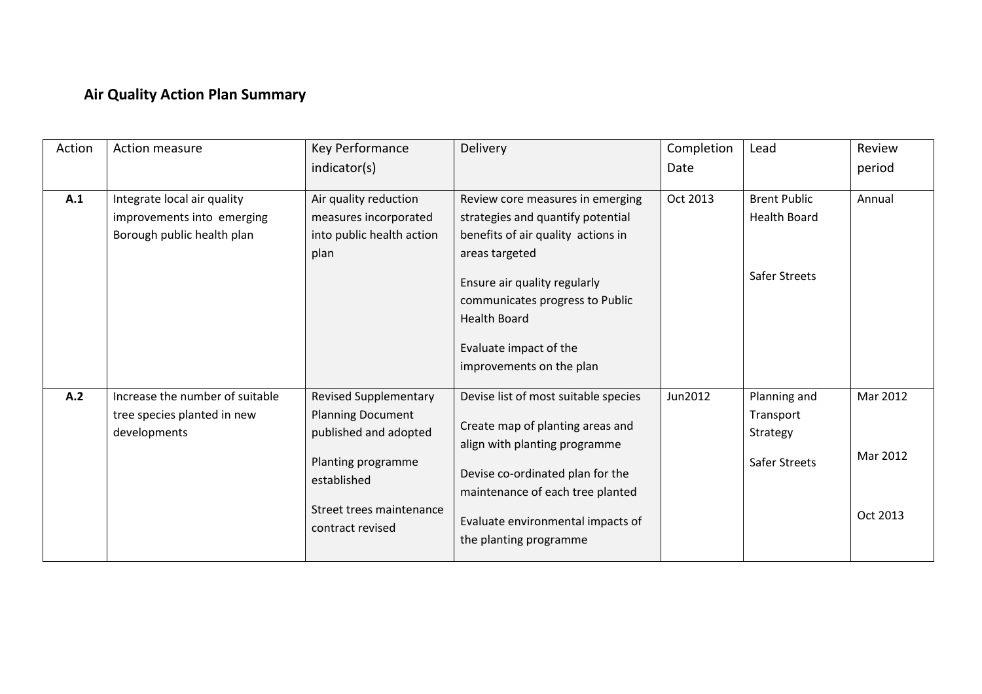# **Air Quality Action Plan Summary**

| Action | Action measure                                                                          | Key Performance                                                                                                                                                        | <b>Delivery</b>                                                                                                                                                                                                                                                               | Completion | Lead                                                        | Review                           |
|--------|-----------------------------------------------------------------------------------------|------------------------------------------------------------------------------------------------------------------------------------------------------------------------|-------------------------------------------------------------------------------------------------------------------------------------------------------------------------------------------------------------------------------------------------------------------------------|------------|-------------------------------------------------------------|----------------------------------|
|        |                                                                                         | indicator(s)                                                                                                                                                           |                                                                                                                                                                                                                                                                               | Date       |                                                             | period                           |
| A.1    | Integrate local air quality<br>improvements into emerging<br>Borough public health plan | Air quality reduction<br>measures incorporated<br>into public health action<br>plan                                                                                    | Review core measures in emerging<br>strategies and quantify potential<br>benefits of air quality actions in<br>areas targeted<br>Ensure air quality regularly<br>communicates progress to Public<br><b>Health Board</b><br>Evaluate impact of the<br>improvements on the plan | Oct 2013   | <b>Brent Public</b><br><b>Health Board</b><br>Safer Streets | Annual                           |
| A.2    | Increase the number of suitable<br>tree species planted in new<br>developments          | <b>Revised Supplementary</b><br><b>Planning Document</b><br>published and adopted<br>Planting programme<br>established<br>Street trees maintenance<br>contract revised | Devise list of most suitable species<br>Create map of planting areas and<br>align with planting programme<br>Devise co-ordinated plan for the<br>maintenance of each tree planted<br>Evaluate environmental impacts of<br>the planting programme                              | Jun2012    | Planning and<br>Transport<br>Strategy<br>Safer Streets      | Mar 2012<br>Mar 2012<br>Oct 2013 |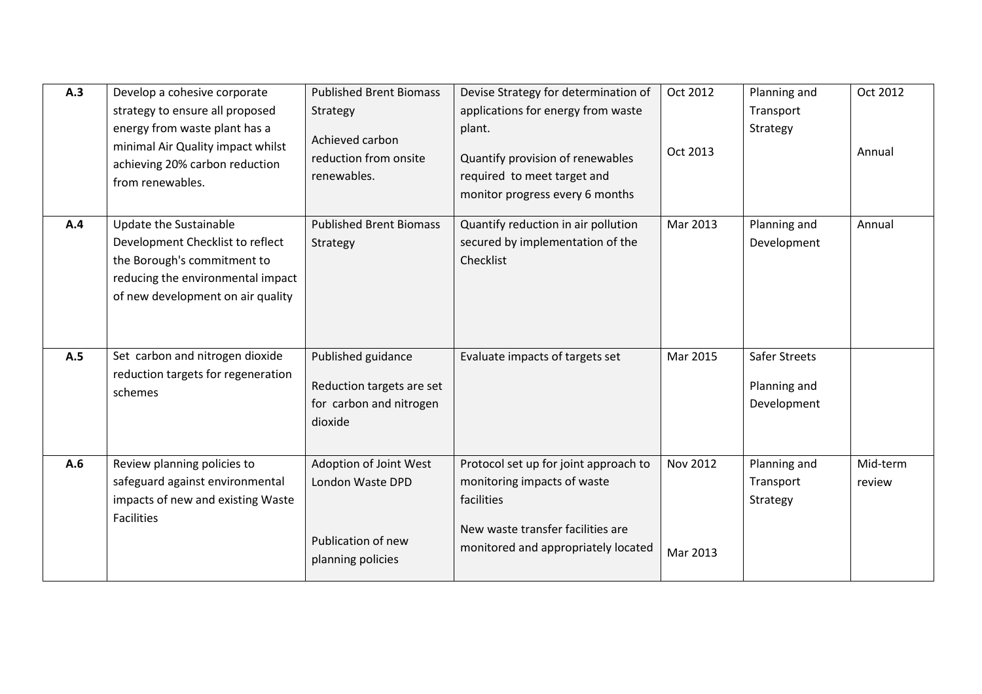| A.3 | Develop a cohesive corporate<br>strategy to ensure all proposed<br>energy from waste plant has a<br>minimal Air Quality impact whilst<br>achieving 20% carbon reduction<br>from renewables. | <b>Published Brent Biomass</b><br>Strategy<br>Achieved carbon<br>reduction from onsite<br>renewables. | Devise Strategy for determination of<br>applications for energy from waste<br>plant.<br>Quantify provision of renewables<br>required to meet target and<br>monitor progress every 6 months | Oct 2012<br>Oct 2013        | Planning and<br>Transport<br>Strategy               | Oct 2012<br>Annual |
|-----|---------------------------------------------------------------------------------------------------------------------------------------------------------------------------------------------|-------------------------------------------------------------------------------------------------------|--------------------------------------------------------------------------------------------------------------------------------------------------------------------------------------------|-----------------------------|-----------------------------------------------------|--------------------|
| A.4 | Update the Sustainable<br>Development Checklist to reflect<br>the Borough's commitment to<br>reducing the environmental impact<br>of new development on air quality                         | <b>Published Brent Biomass</b><br>Strategy                                                            | Quantify reduction in air pollution<br>secured by implementation of the<br>Checklist                                                                                                       | Mar 2013                    | Planning and<br>Development                         | Annual             |
| A.5 | Set carbon and nitrogen dioxide<br>reduction targets for regeneration<br>schemes                                                                                                            | Published guidance<br>Reduction targets are set<br>for carbon and nitrogen<br>dioxide                 | Evaluate impacts of targets set                                                                                                                                                            | Mar 2015                    | <b>Safer Streets</b><br>Planning and<br>Development |                    |
| A.6 | Review planning policies to<br>safeguard against environmental<br>impacts of new and existing Waste<br><b>Facilities</b>                                                                    | Adoption of Joint West<br>London Waste DPD<br>Publication of new<br>planning policies                 | Protocol set up for joint approach to<br>monitoring impacts of waste<br>facilities<br>New waste transfer facilities are<br>monitored and appropriately located                             | <b>Nov 2012</b><br>Mar 2013 | Planning and<br>Transport<br>Strategy               | Mid-term<br>review |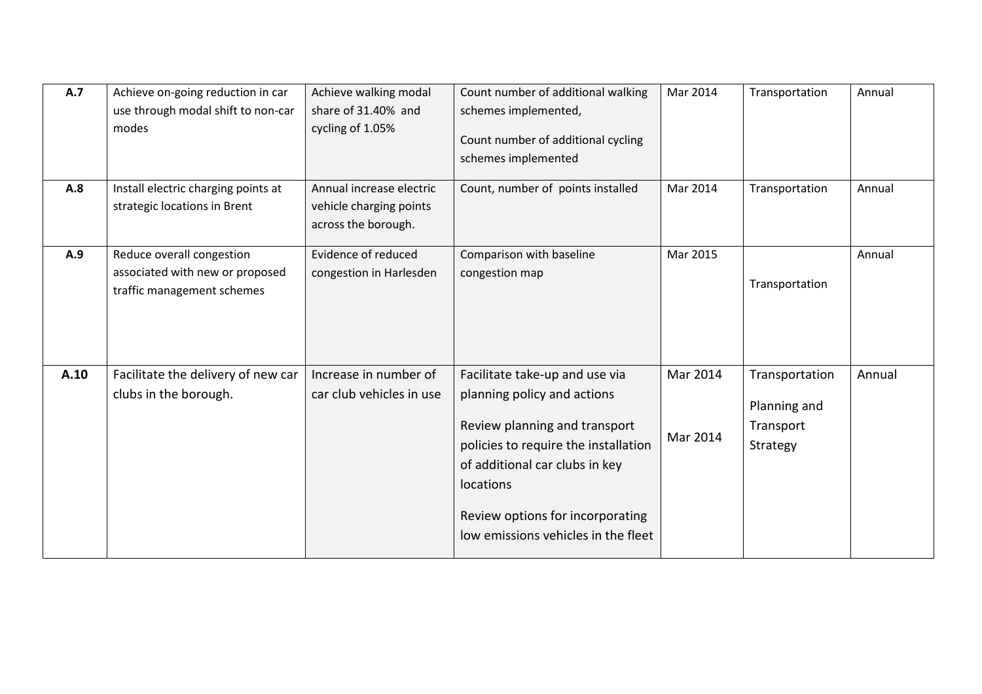| A.7  | Achieve on-going reduction in car<br>use through modal shift to non-car<br>modes           | Achieve walking modal<br>share of 31.40% and<br>cycling of 1.05%           | Count number of additional walking<br>schemes implemented,<br>Count number of additional cycling<br>schemes implemented                                                                                                                                          | Mar 2014             | Transportation                                          | Annual |
|------|--------------------------------------------------------------------------------------------|----------------------------------------------------------------------------|------------------------------------------------------------------------------------------------------------------------------------------------------------------------------------------------------------------------------------------------------------------|----------------------|---------------------------------------------------------|--------|
| A.8  | Install electric charging points at<br>strategic locations in Brent                        | Annual increase electric<br>vehicle charging points<br>across the borough. | Count, number of points installed                                                                                                                                                                                                                                | Mar 2014             | Transportation                                          | Annual |
| A.9  | Reduce overall congestion<br>associated with new or proposed<br>traffic management schemes | Evidence of reduced<br>congestion in Harlesden                             | Comparison with baseline<br>congestion map                                                                                                                                                                                                                       | Mar 2015             | Transportation                                          | Annual |
| A.10 | Facilitate the delivery of new car<br>clubs in the borough.                                | Increase in number of<br>car club vehicles in use                          | Facilitate take-up and use via<br>planning policy and actions<br>Review planning and transport<br>policies to require the installation<br>of additional car clubs in key<br>locations<br>Review options for incorporating<br>low emissions vehicles in the fleet | Mar 2014<br>Mar 2014 | Transportation<br>Planning and<br>Transport<br>Strategy | Annual |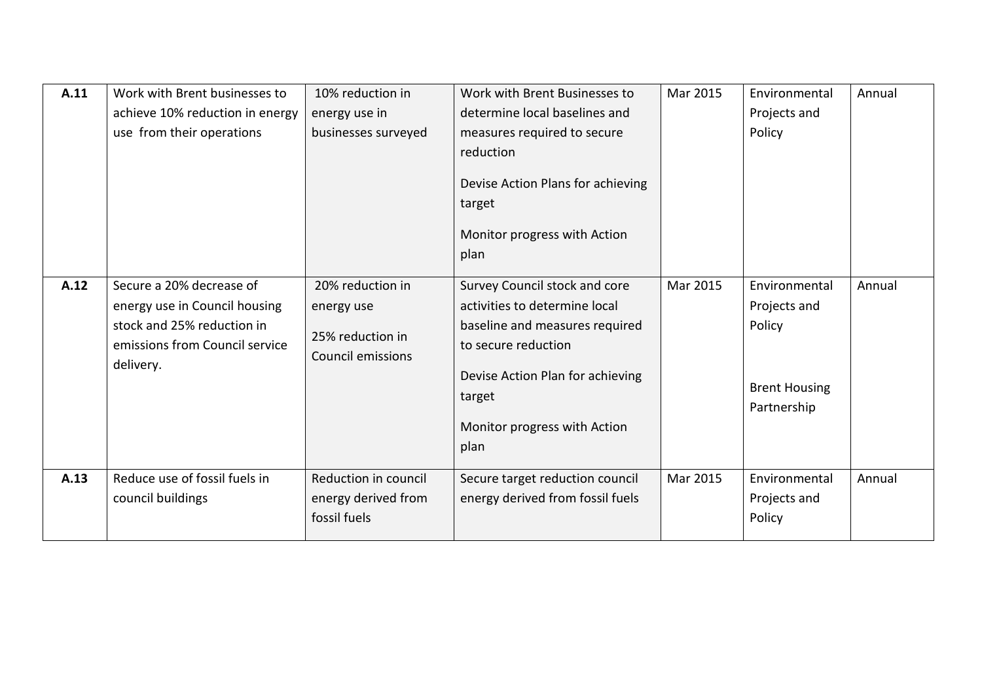| A.11 | Work with Brent businesses to<br>achieve 10% reduction in energy<br>use from their operations                                          | 10% reduction in<br>energy use in<br>businesses surveyed                       | Work with Brent Businesses to<br>determine local baselines and<br>measures required to secure<br>reduction<br>Devise Action Plans for achieving<br>target<br>Monitor progress with Action<br>plan             | Mar 2015 | Environmental<br>Projects and<br>Policy                                        | Annual |
|------|----------------------------------------------------------------------------------------------------------------------------------------|--------------------------------------------------------------------------------|---------------------------------------------------------------------------------------------------------------------------------------------------------------------------------------------------------------|----------|--------------------------------------------------------------------------------|--------|
| A.12 | Secure a 20% decrease of<br>energy use in Council housing<br>stock and 25% reduction in<br>emissions from Council service<br>delivery. | 20% reduction in<br>energy use<br>25% reduction in<br><b>Council emissions</b> | Survey Council stock and core<br>activities to determine local<br>baseline and measures required<br>to secure reduction<br>Devise Action Plan for achieving<br>target<br>Monitor progress with Action<br>plan | Mar 2015 | Environmental<br>Projects and<br>Policy<br><b>Brent Housing</b><br>Partnership | Annual |
| A.13 | Reduce use of fossil fuels in<br>council buildings                                                                                     | Reduction in council<br>energy derived from<br>fossil fuels                    | Secure target reduction council<br>energy derived from fossil fuels                                                                                                                                           | Mar 2015 | Environmental<br>Projects and<br>Policy                                        | Annual |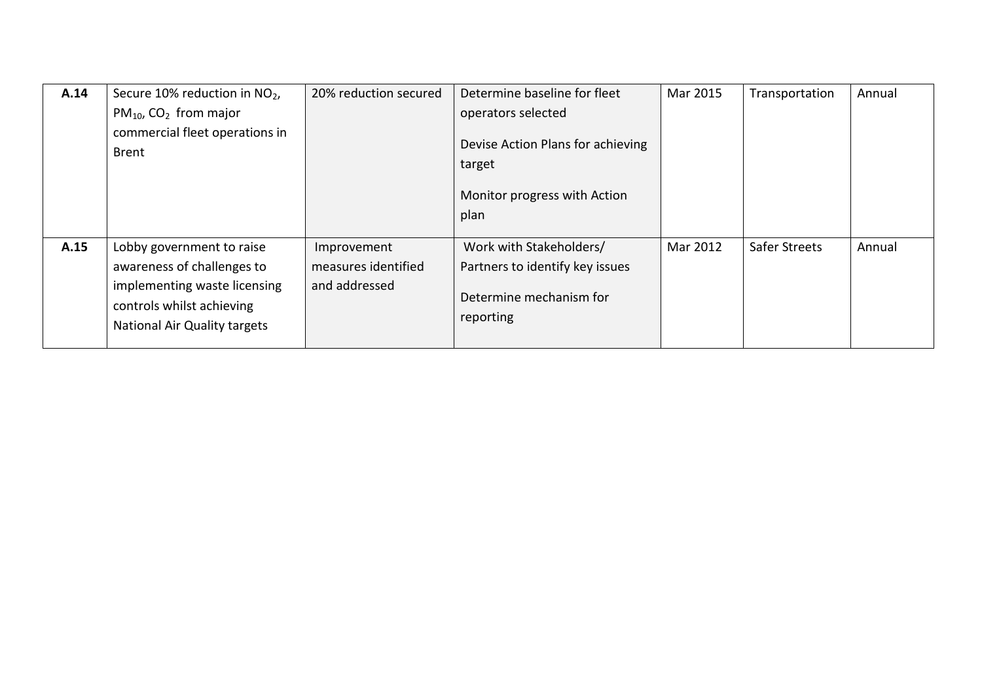| A.14 | Secure 10% reduction in NO <sub>2</sub> ,                                                 | 20% reduction secured | Determine baseline for fleet                            | Mar 2015 | Transportation | Annual |
|------|-------------------------------------------------------------------------------------------|-----------------------|---------------------------------------------------------|----------|----------------|--------|
|      | $PM_{10}$ , CO <sub>2</sub> from major<br>commercial fleet operations in                  |                       | operators selected<br>Devise Action Plans for achieving |          |                |        |
|      | <b>Brent</b>                                                                              |                       | target                                                  |          |                |        |
|      |                                                                                           |                       | Monitor progress with Action                            |          |                |        |
|      |                                                                                           |                       | plan                                                    |          |                |        |
| A.15 | Lobby government to raise                                                                 | Improvement           | Work with Stakeholders/                                 | Mar 2012 | Safer Streets  | Annual |
|      | awareness of challenges to                                                                | measures identified   | Partners to identify key issues                         |          |                |        |
|      | implementing waste licensing<br>controls whilst achieving<br>National Air Quality targets | and addressed         | Determine mechanism for<br>reporting                    |          |                |        |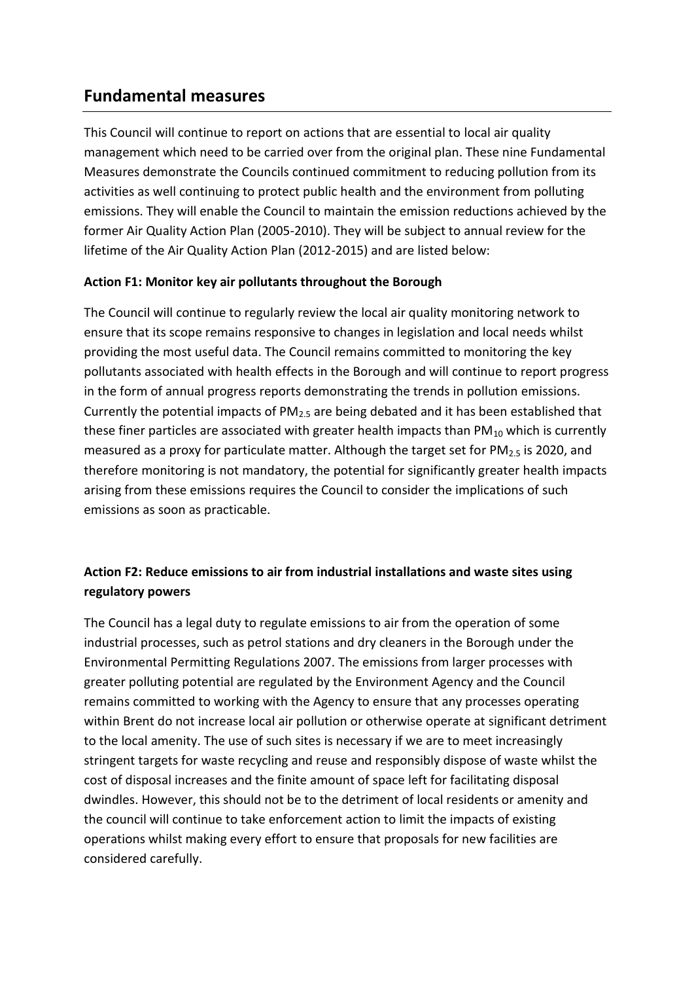## **Fundamental measures**

This Council will continue to report on actions that are essential to local air quality management which need to be carried over from the original plan. These nine Fundamental Measures demonstrate the Councils continued commitment to reducing pollution from its activities as well continuing to protect public health and the environment from polluting emissions. They will enable the Council to maintain the emission reductions achieved by the former Air Quality Action Plan (2005-2010). They will be subject to annual review for the lifetime of the Air Quality Action Plan (2012-2015) and are listed below:

#### **Action F1: Monitor key air pollutants throughout the Borough**

The Council will continue to regularly review the local air quality monitoring network to ensure that its scope remains responsive to changes in legislation and local needs whilst providing the most useful data. The Council remains committed to monitoring the key pollutants associated with health effects in the Borough and will continue to report progress in the form of annual progress reports demonstrating the trends in pollution emissions. Currently the potential impacts of  $PM<sub>2.5</sub>$  are being debated and it has been established that these finer particles are associated with greater health impacts than  $PM_{10}$  which is currently measured as a proxy for particulate matter. Although the target set for  $PM_{2.5}$  is 2020, and therefore monitoring is not mandatory, the potential for significantly greater health impacts arising from these emissions requires the Council to consider the implications of such emissions as soon as practicable.

#### **Action F2: Reduce emissions to air from industrial installations and waste sites using regulatory powers**

The Council has a legal duty to regulate emissions to air from the operation of some industrial processes, such as petrol stations and dry cleaners in the Borough under the Environmental Permitting Regulations 2007. The emissions from larger processes with greater polluting potential are regulated by the Environment Agency and the Council remains committed to working with the Agency to ensure that any processes operating within Brent do not increase local air pollution or otherwise operate at significant detriment to the local amenity. The use of such sites is necessary if we are to meet increasingly stringent targets for waste recycling and reuse and responsibly dispose of waste whilst the cost of disposal increases and the finite amount of space left for facilitating disposal dwindles. However, this should not be to the detriment of local residents or amenity and the council will continue to take enforcement action to limit the impacts of existing operations whilst making every effort to ensure that proposals for new facilities are considered carefully.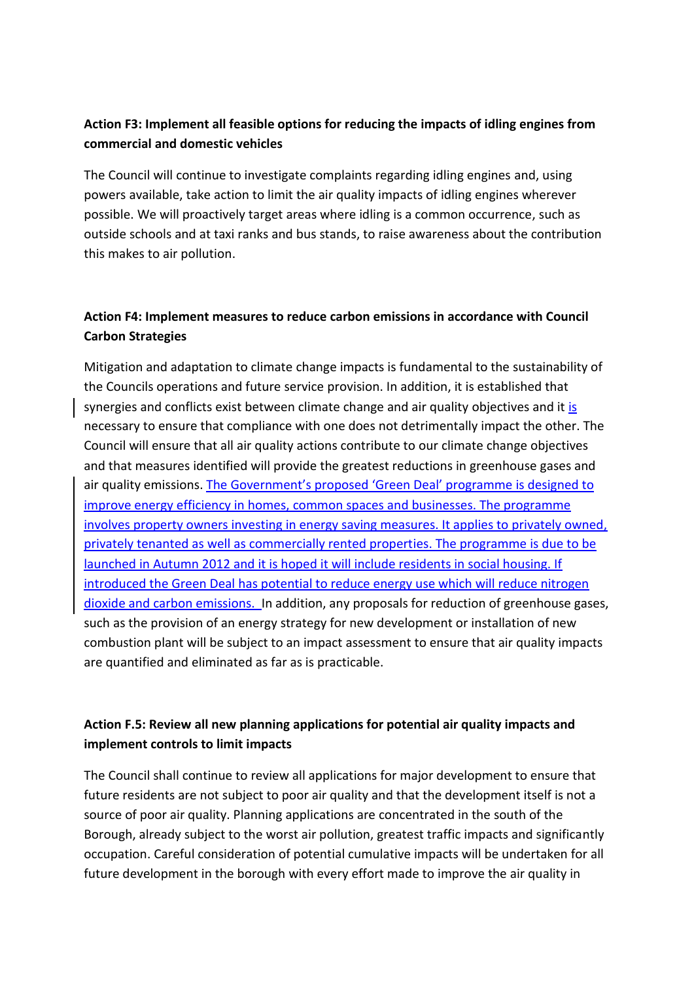#### **Action F3: Implement all feasible options for reducing the impacts of idling engines from commercial and domestic vehicles**

The Council will continue to investigate complaints regarding idling engines and, using powers available, take action to limit the air quality impacts of idling engines wherever possible. We will proactively target areas where idling is a common occurrence, such as outside schools and at taxi ranks and bus stands, to raise awareness about the contribution this makes to air pollution.

#### **Action F4: Implement measures to reduce carbon emissions in accordance with Council Carbon Strategies**

Mitigation and adaptation to climate change impacts is fundamental to the sustainability of the Councils operations and future service provision. In addition, it is established that synergies and conflicts exist between climate change and air quality objectives and it is necessary to ensure that compliance with one does not detrimentally impact the other. The Council will ensure that all air quality actions contribute to our climate change objectives and that measures identified will provide the greatest reductions in greenhouse gases and air quality emissions. The Government's proposed 'Green Deal' programme is designed to improve energy efficiency in homes, common spaces and businesses. The programme involves property owners investing in energy saving measures. It applies to privately owned, privately tenanted as well as commercially rented properties. The programme is due to be launched in Autumn 2012 and it is hoped it will include residents in social housing. If introduced the Green Deal has potential to reduce energy use which will reduce nitrogen dioxide and carbon emissions. In addition, any proposals for reduction of greenhouse gases, such as the provision of an energy strategy for new development or installation of new combustion plant will be subject to an impact assessment to ensure that air quality impacts are quantified and eliminated as far as is practicable.

#### **Action F.5: Review all new planning applications for potential air quality impacts and implement controls to limit impacts**

The Council shall continue to review all applications for major development to ensure that future residents are not subject to poor air quality and that the development itself is not a source of poor air quality. Planning applications are concentrated in the south of the Borough, already subject to the worst air pollution, greatest traffic impacts and significantly occupation. Careful consideration of potential cumulative impacts will be undertaken for all future development in the borough with every effort made to improve the air quality in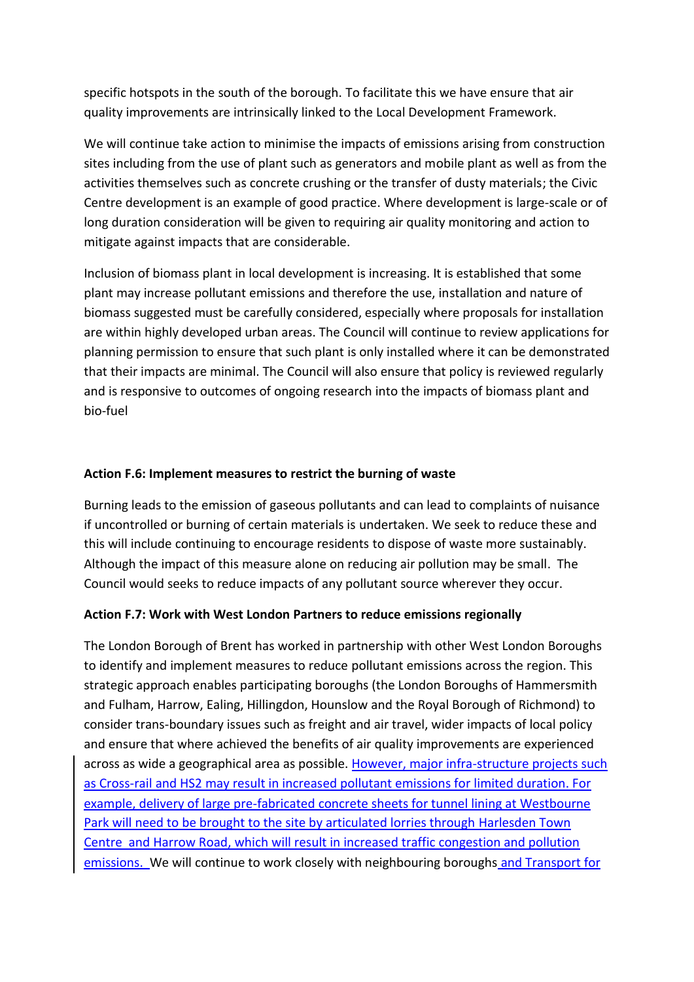specific hotspots in the south of the borough. To facilitate this we have ensure that air quality improvements are intrinsically linked to the Local Development Framework.

We will continue take action to minimise the impacts of emissions arising from construction sites including from the use of plant such as generators and mobile plant as well as from the activities themselves such as concrete crushing or the transfer of dusty materials; the Civic Centre development is an example of good practice. Where development is large-scale or of long duration consideration will be given to requiring air quality monitoring and action to mitigate against impacts that are considerable.

Inclusion of biomass plant in local development is increasing. It is established that some plant may increase pollutant emissions and therefore the use, installation and nature of biomass suggested must be carefully considered, especially where proposals for installation are within highly developed urban areas. The Council will continue to review applications for planning permission to ensure that such plant is only installed where it can be demonstrated that their impacts are minimal. The Council will also ensure that policy is reviewed regularly and is responsive to outcomes of ongoing research into the impacts of biomass plant and bio-fuel

#### **Action F.6: Implement measures to restrict the burning of waste**

Burning leads to the emission of gaseous pollutants and can lead to complaints of nuisance if uncontrolled or burning of certain materials is undertaken. We seek to reduce these and this will include continuing to encourage residents to dispose of waste more sustainably. Although the impact of this measure alone on reducing air pollution may be small. The Council would seeks to reduce impacts of any pollutant source wherever they occur.

#### **Action F.7: Work with West London Partners to reduce emissions regionally**

The London Borough of Brent has worked in partnership with other West London Boroughs to identify and implement measures to reduce pollutant emissions across the region. This strategic approach enables participating boroughs (the London Boroughs of Hammersmith and Fulham, Harrow, Ealing, Hillingdon, Hounslow and the Royal Borough of Richmond) to consider trans-boundary issues such as freight and air travel, wider impacts of local policy and ensure that where achieved the benefits of air quality improvements are experienced across as wide a geographical area as possible. However, major infra-structure projects such as Cross-rail and HS2 may result in increased pollutant emissions for limited duration. For example, delivery of large pre-fabricated concrete sheets for tunnel lining at Westbourne Park will need to be brought to the site by articulated lorries through Harlesden Town Centre and Harrow Road, which will result in increased traffic congestion and pollution emissions. We will continue to work closely with neighbouring boroughs and Transport for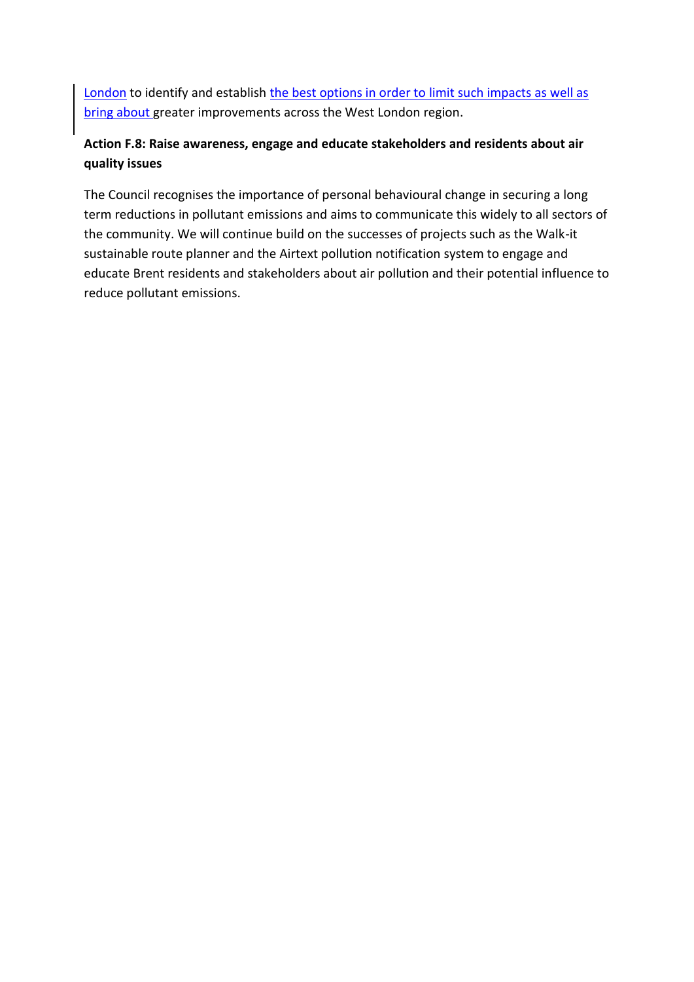London to identify and establish the best options in order to limit such impacts as well as bring about greater improvements across the West London region.

#### **Action F.8: Raise awareness, engage and educate stakeholders and residents about air quality issues**

The Council recognises the importance of personal behavioural change in securing a long term reductions in pollutant emissions and aims to communicate this widely to all sectors of the community. We will continue build on the successes of projects such as the Walk-it sustainable route planner and the Airtext pollution notification system to engage and educate Brent residents and stakeholders about air pollution and their potential influence to reduce pollutant emissions.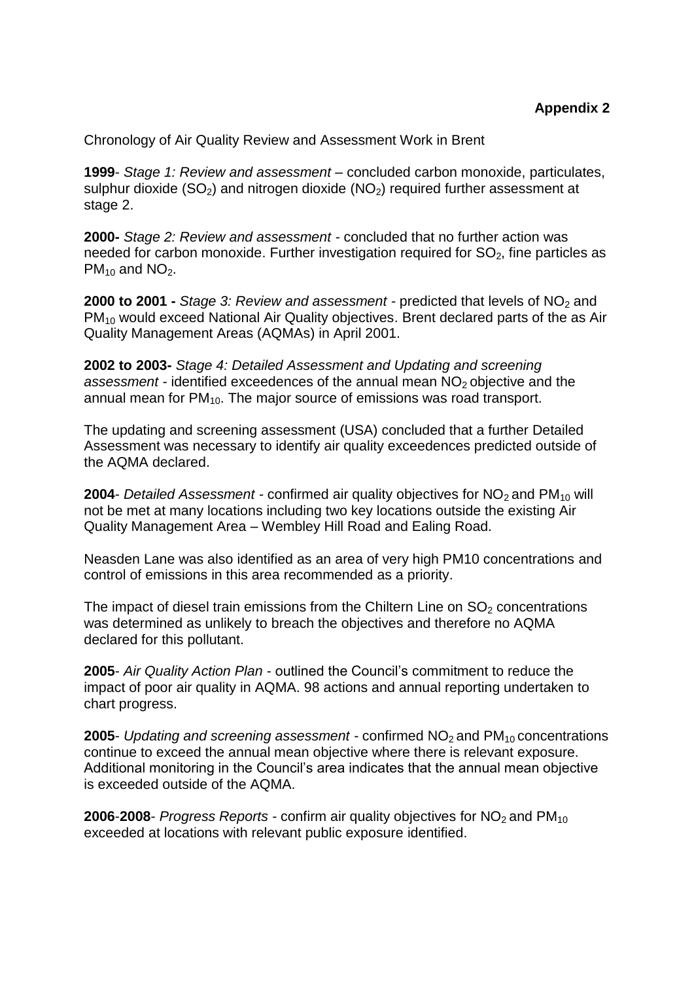Chronology of Air Quality Review and Assessment Work in Brent

**1999**- *Stage 1: Review and assessment* – concluded carbon monoxide, particulates, sulphur dioxide  $(SO<sub>2</sub>)$  and nitrogen dioxide  $(NO<sub>2</sub>)$  required further assessment at stage 2.

**2000-** *Stage 2: Review and assessment -* concluded that no further action was needed for carbon monoxide. Further investigation required for  $SO<sub>2</sub>$ , fine particles as  $PM_{10}$  and NO<sub>2</sub>.

**2000 to 2001 -** *Stage 3: Review and assessment -* predicted that levels of NO<sub>2</sub> and PM<sub>10</sub> would exceed National Air Quality objectives. Brent declared parts of the as Air Quality Management Areas (AQMAs) in April 2001.

**2002 to 2003-** *Stage 4: Detailed Assessment and Updating and screening assessment -* identified exceedences of the annual mean NO<sup>2</sup> objective and the annual mean for  $PM_{10}$ . The major source of emissions was road transport.

The updating and screening assessment (USA) concluded that a further Detailed Assessment was necessary to identify air quality exceedences predicted outside of the AQMA declared.

**2004-** *Detailed Assessment -* confirmed air quality objectives for NO<sub>2</sub> and PM<sub>10</sub> will not be met at many locations including two key locations outside the existing Air Quality Management Area – Wembley Hill Road and Ealing Road.

Neasden Lane was also identified as an area of very high PM10 concentrations and control of emissions in this area recommended as a priority.

The impact of diesel train emissions from the Chiltern Line on  $SO<sub>2</sub>$  concentrations was determined as unlikely to breach the objectives and therefore no AQMA declared for this pollutant.

**2005**- *Air Quality Action Plan* - outlined the Council's commitment to reduce the impact of poor air quality in AQMA. 98 actions and annual reporting undertaken to chart progress.

**2005-** *Updating and screening assessment -* confirmed NO<sub>2</sub> and PM<sub>10</sub> concentrations continue to exceed the annual mean objective where there is relevant exposure. Additional monitoring in the Council's area indicates that the annual mean objective is exceeded outside of the AQMA.

**2006-2008-** *Progress Reports -* confirm air quality objectives for  $NO<sub>2</sub>$  and  $PM<sub>10</sub>$ exceeded at locations with relevant public exposure identified.